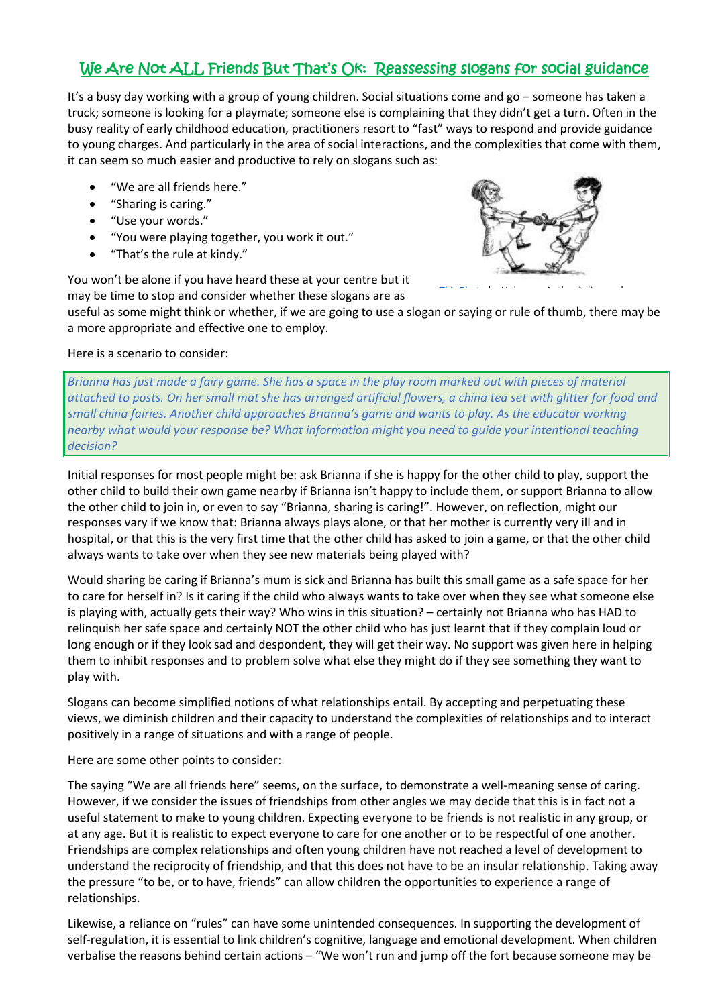# We Are Not ALL Friends But That's OK: Reassessing slogans for social guidance

It's a busy day working with a group of young children. Social situations come and go – someone has taken a truck; someone is looking for a playmate; someone else is complaining that they didn't get a turn. Often in the busy reality of early childhood education, practitioners resort to "fast" ways to respond and provide guidance to young charges. And particularly in the area of social interactions, and the complexities that come with them, it can seem so much easier and productive to rely on slogans such as:

- "We are all friends here."
- "Sharing is caring."
- "Use your words."
- "You were playing together, you work it out."
- "That's the rule at kindy."

[This Photo](https://www.jcnaveia.com.br/versiculo/nao-quero-mais-brincar/) by Unknown Author is licensed

You won't be alone if you have heard these at your centre but it may be time to stop and consider whether these slogans are as

useful as some might think or whether, if we are going to use a slogan or s[aying or r](https://creativecommons.org/licenses/by-nc/3.0/)ule of thumb, there may be a more appropriate and effective one to employ.

## Here is a scenario to consider:

*Brianna has just made a fairy game. She has a space in the play room marked out with pieces of material attached to posts. On her small mat she has arranged artificial flowers, a china tea set with glitter for food and small china fairies. Another child approaches Brianna's game and wants to play. As the educator working nearby what would your response be? What information might you need to guide your intentional teaching decision?*

Initial responses for most people might be: ask Brianna if she is happy for the other child to play, support the other child to build their own game nearby if Brianna isn't happy to include them, or support Brianna to allow the other child to join in, or even to say "Brianna, sharing is caring!". However, on reflection, might our responses vary if we know that: Brianna always plays alone, or that her mother is currently very ill and in hospital, or that this is the very first time that the other child has asked to join a game, or that the other child always wants to take over when they see new materials being played with?

Would sharing be caring if Brianna's mum is sick and Brianna has built this small game as a safe space for her to care for herself in? Is it caring if the child who always wants to take over when they see what someone else is playing with, actually gets their way? Who wins in this situation? – certainly not Brianna who has HAD to relinquish her safe space and certainly NOT the other child who has just learnt that if they complain loud or long enough or if they look sad and despondent, they will get their way. No support was given here in helping them to inhibit responses and to problem solve what else they might do if they see something they want to play with.

Slogans can become simplified notions of what relationships entail. By accepting and perpetuating these views, we diminish children and their capacity to understand the complexities of relationships and to interact positively in a range of situations and with a range of people.

Here are some other points to consider:

The saying "We are all friends here" seems, on the surface, to demonstrate a well-meaning sense of caring. However, if we consider the issues of friendships from other angles we may decide that this is in fact not a useful statement to make to young children. Expecting everyone to be friends is not realistic in any group, or at any age. But it is realistic to expect everyone to care for one another or to be respectful of one another. Friendships are complex relationships and often young children have not reached a level of development to understand the reciprocity of friendship, and that this does not have to be an insular relationship. Taking away the pressure "to be, or to have, friends" can allow children the opportunities to experience a range of relationships.

Likewise, a reliance on "rules" can have some unintended consequences. In supporting the development of self-regulation, it is essential to link children's cognitive, language and emotional development. When children verbalise the reasons behind certain actions – "We won't run and jump off the fort because someone may be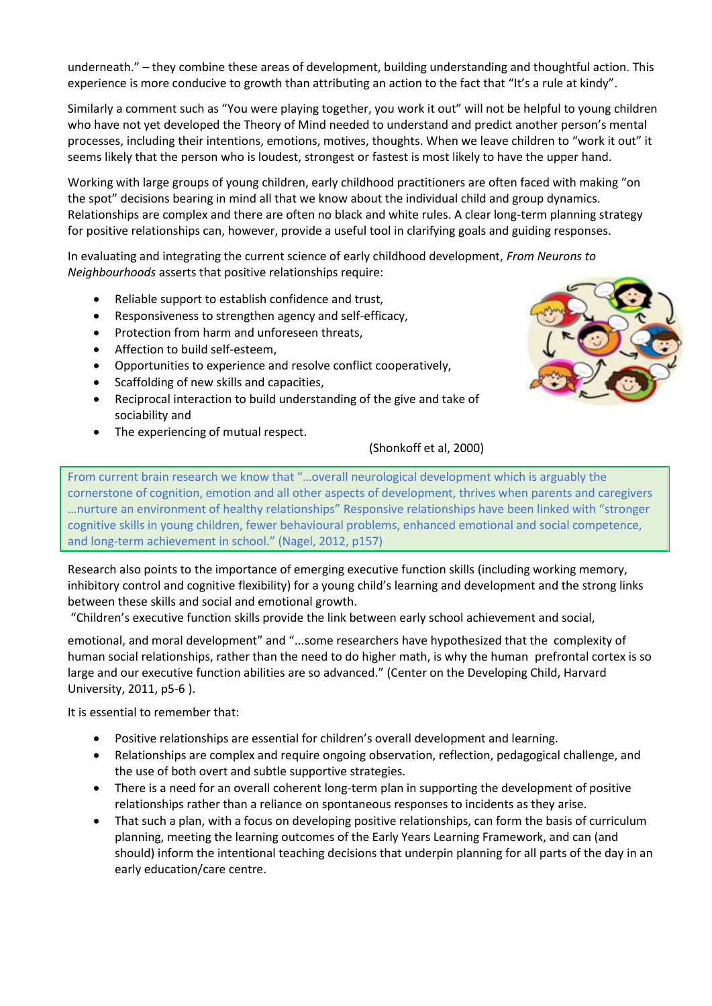underneath." – they combine these areas of development, building understanding and thoughtful action. This experience is more conducive to growth than attributing an action to the fact that "It's a rule at kindy".

Similarly a comment such as "You were playing together, you work it out" will not be helpful to young children who have not yet developed the Theory of Mind needed to understand and predict another person's mental processes, including their intentions, emotions, motives, thoughts. When we leave children to "work it out" it seems likely that the person who is loudest, strongest or fastest is most likely to have the upper hand.

Working with large groups of young children, early childhood practitioners are often faced with making "on the spot" decisions bearing in mind all that we know about the individual child and group dynamics. Relationships are complex and there are often no black and white rules. A clear long-term planning strategy for positive relationships can, however, provide a useful tool in clarifying goals and guiding responses.

In evaluating and integrating the current science of early childhood development, *From Neurons to Neighbourhoods* asserts that positive relationships require:

- Reliable support to establish confidence and trust,
- Responsiveness to strengthen agency and self-efficacy,
- Protection from harm and unforeseen threats,
- Affection to build self-esteem,
- Opportunities to experience and resolve conflict cooperatively,
- Scaffolding of new skills and capacities,
- Reciprocal interaction to build understanding of the give and take of sociability and
- The experiencing of mutual respect.



## (Shonkoff et al, 2000)

From current brain research we know that "…overall neurological development which is arguably the cornerstone of cognition, emotion and all other aspects of development, thrives when parents and caregivers …nurture an environment of healthy relationships" Responsive relationships have been linked with "stronger cognitive skills in young children, fewer behavioural problems, enhanced emotional and social competence, and long-term achievement in school." (Nagel, 2012, p157)

Research also points to the importance of emerging executive function skills (including working memory, inhibitory control and cognitive flexibility) for a young child's learning and development and the strong links between these skills and social and emotional growth.

"Children's executive function skills provide the link between early school achievement and social,

emotional, and moral development" and "...some researchers have hypothesized that the complexity of human social relationships, rather than the need to do higher math, is why the human prefrontal cortex is so large and our executive function abilities are so advanced." (Center on the Developing Child, Harvard University, 2011, p5-6 ).

It is essential to remember that:

- Positive relationships are essential for children's overall development and learning.
- Relationships are complex and require ongoing observation, reflection, pedagogical challenge, and the use of both overt and subtle supportive strategies.
- There is a need for an overall coherent long-term plan in supporting the development of positive relationships rather than a reliance on spontaneous responses to incidents as they arise.
- That such a plan, with a focus on developing positive relationships, can form the basis of curriculum planning, meeting the learning outcomes of the Early Years Learning Framework, and can (and should) inform the intentional teaching decisions that underpin planning for all parts of the day in an early education/care centre.